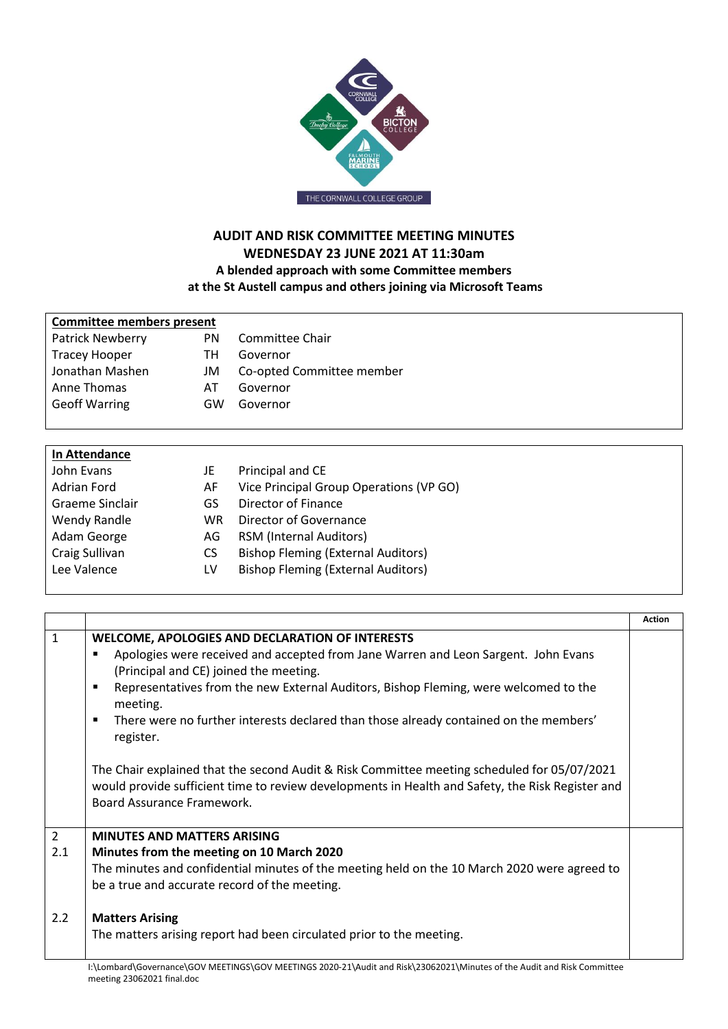

# **AUDIT AND RISK COMMITTEE MEETING MINUTES WEDNESDAY 23 JUNE 2021 AT 11:30am A blended approach with some Committee members at the St Austell campus and others joining via Microsoft Teams**

| Committee members present |     |                           |
|---------------------------|-----|---------------------------|
| Patrick Newberry          | PN  | Committee Chair           |
| <b>Tracey Hooper</b>      | TH. | Governor                  |
| Jonathan Mashen           | JM  | Co-opted Committee member |
| Anne Thomas               | ΑI  | Governor                  |
| <b>Geoff Warring</b>      | GW  | Governor                  |

| In Attendance   |           |                                           |
|-----------------|-----------|-------------------------------------------|
| John Evans      | JE        | Principal and CE                          |
| Adrian Ford     | AF        | Vice Principal Group Operations (VP GO)   |
| Graeme Sinclair | GS        | Director of Finance                       |
| Wendy Randle    | <b>WR</b> | Director of Governance                    |
| Adam George     | AG.       | <b>RSM (Internal Auditors)</b>            |
| Craig Sullivan  | CS.       | <b>Bishop Fleming (External Auditors)</b> |
| Lee Valence     | LV        | <b>Bishop Fleming (External Auditors)</b> |
|                 |           |                                           |

|                                                                                                                                                                                                                               | <b>Action</b> |
|-------------------------------------------------------------------------------------------------------------------------------------------------------------------------------------------------------------------------------|---------------|
| <b>WELCOME, APOLOGIES AND DECLARATION OF INTERESTS</b>                                                                                                                                                                        |               |
| Apologies were received and accepted from Jane Warren and Leon Sargent. John Evans<br>(Principal and CE) joined the meeting.                                                                                                  |               |
| Representatives from the new External Auditors, Bishop Fleming, were welcomed to the<br>п<br>meeting.                                                                                                                         |               |
| There were no further interests declared than those already contained on the members'<br>п<br>register.                                                                                                                       |               |
| The Chair explained that the second Audit & Risk Committee meeting scheduled for 05/07/2021<br>would provide sufficient time to review developments in Health and Safety, the Risk Register and<br>Board Assurance Framework. |               |
| <b>MINUTES AND MATTERS ARISING</b>                                                                                                                                                                                            |               |
| Minutes from the meeting on 10 March 2020                                                                                                                                                                                     |               |
| The minutes and confidential minutes of the meeting held on the 10 March 2020 were agreed to                                                                                                                                  |               |
| be a true and accurate record of the meeting.                                                                                                                                                                                 |               |
| <b>Matters Arising</b>                                                                                                                                                                                                        |               |
| The matters arising report had been circulated prior to the meeting.                                                                                                                                                          |               |
|                                                                                                                                                                                                                               |               |

I:\Lombard\Governance\GOV MEETINGS\GOV MEETINGS 2020-21\Audit and Risk\23062021\Minutes of the Audit and Risk Committee meeting 23062021 final.doc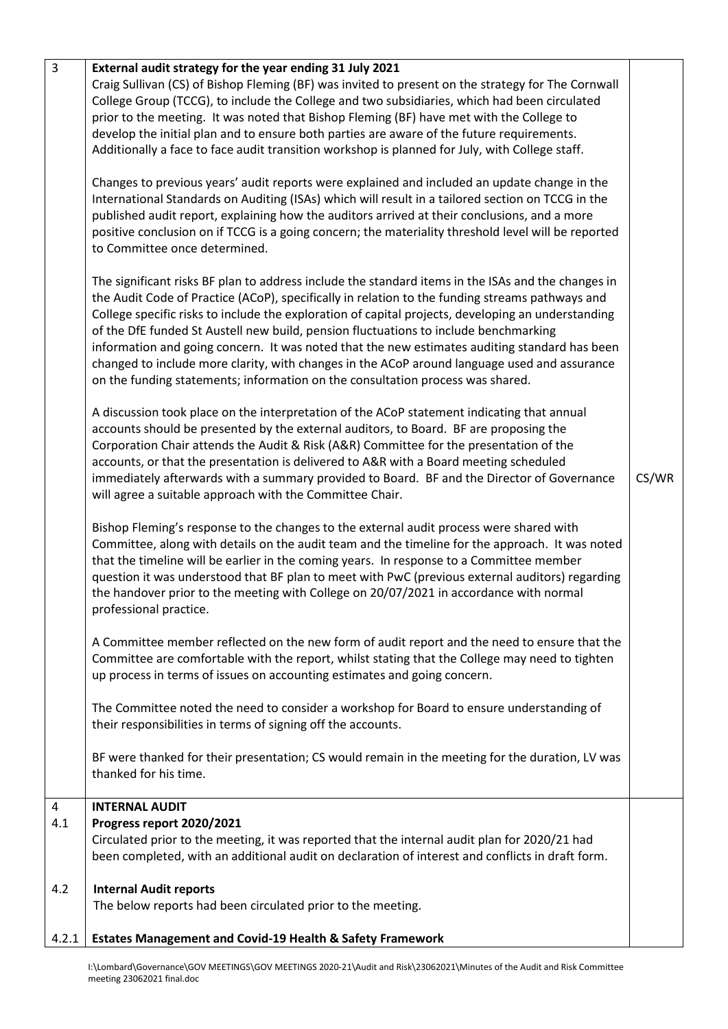| $\overline{3}$  | External audit strategy for the year ending 31 July 2021<br>Craig Sullivan (CS) of Bishop Fleming (BF) was invited to present on the strategy for The Cornwall<br>College Group (TCCG), to include the College and two subsidiaries, which had been circulated<br>prior to the meeting. It was noted that Bishop Fleming (BF) have met with the College to<br>develop the initial plan and to ensure both parties are aware of the future requirements.<br>Additionally a face to face audit transition workshop is planned for July, with College staff.<br>Changes to previous years' audit reports were explained and included an update change in the<br>International Standards on Auditing (ISAs) which will result in a tailored section on TCCG in the<br>published audit report, explaining how the auditors arrived at their conclusions, and a more<br>positive conclusion on if TCCG is a going concern; the materiality threshold level will be reported<br>to Committee once determined.<br>The significant risks BF plan to address include the standard items in the ISAs and the changes in<br>the Audit Code of Practice (ACoP), specifically in relation to the funding streams pathways and<br>College specific risks to include the exploration of capital projects, developing an understanding<br>of the DfE funded St Austell new build, pension fluctuations to include benchmarking<br>information and going concern. It was noted that the new estimates auditing standard has been<br>changed to include more clarity, with changes in the ACoP around language used and assurance<br>on the funding statements; information on the consultation process was shared.<br>A discussion took place on the interpretation of the ACoP statement indicating that annual<br>accounts should be presented by the external auditors, to Board. BF are proposing the<br>Corporation Chair attends the Audit & Risk (A&R) Committee for the presentation of the<br>accounts, or that the presentation is delivered to A&R with a Board meeting scheduled<br>immediately afterwards with a summary provided to Board. BF and the Director of Governance<br>will agree a suitable approach with the Committee Chair.<br>Bishop Fleming's response to the changes to the external audit process were shared with<br>Committee, along with details on the audit team and the timeline for the approach. It was noted<br>that the timeline will be earlier in the coming years. In response to a Committee member<br>question it was understood that BF plan to meet with PwC (previous external auditors) regarding<br>the handover prior to the meeting with College on 20/07/2021 in accordance with normal<br>professional practice.<br>A Committee member reflected on the new form of audit report and the need to ensure that the<br>Committee are comfortable with the report, whilst stating that the College may need to tighten<br>up process in terms of issues on accounting estimates and going concern.<br>The Committee noted the need to consider a workshop for Board to ensure understanding of<br>their responsibilities in terms of signing off the accounts.<br>BF were thanked for their presentation; CS would remain in the meeting for the duration, LV was<br>thanked for his time. | CS/WR |
|-----------------|-----------------------------------------------------------------------------------------------------------------------------------------------------------------------------------------------------------------------------------------------------------------------------------------------------------------------------------------------------------------------------------------------------------------------------------------------------------------------------------------------------------------------------------------------------------------------------------------------------------------------------------------------------------------------------------------------------------------------------------------------------------------------------------------------------------------------------------------------------------------------------------------------------------------------------------------------------------------------------------------------------------------------------------------------------------------------------------------------------------------------------------------------------------------------------------------------------------------------------------------------------------------------------------------------------------------------------------------------------------------------------------------------------------------------------------------------------------------------------------------------------------------------------------------------------------------------------------------------------------------------------------------------------------------------------------------------------------------------------------------------------------------------------------------------------------------------------------------------------------------------------------------------------------------------------------------------------------------------------------------------------------------------------------------------------------------------------------------------------------------------------------------------------------------------------------------------------------------------------------------------------------------------------------------------------------------------------------------------------------------------------------------------------------------------------------------------------------------------------------------------------------------------------------------------------------------------------------------------------------------------------------------------------------------------------------------------------------------------------------------------------------------------------------------------------------------------------------------------------------------------------------------------------------------------------------------------------------------------------------------------------------------------------------------------------------------------------------------------------------------------------------------------------------------------------------------------------------------------------------------------------------------------------------------------------------------------------|-------|
|                 |                                                                                                                                                                                                                                                                                                                                                                                                                                                                                                                                                                                                                                                                                                                                                                                                                                                                                                                                                                                                                                                                                                                                                                                                                                                                                                                                                                                                                                                                                                                                                                                                                                                                                                                                                                                                                                                                                                                                                                                                                                                                                                                                                                                                                                                                                                                                                                                                                                                                                                                                                                                                                                                                                                                                                                                                                                                                                                                                                                                                                                                                                                                                                                                                                                                                                                                             |       |
| 4<br>4.1<br>4.2 | <b>INTERNAL AUDIT</b><br>Progress report 2020/2021<br>Circulated prior to the meeting, it was reported that the internal audit plan for 2020/21 had<br>been completed, with an additional audit on declaration of interest and conflicts in draft form.<br><b>Internal Audit reports</b><br>The below reports had been circulated prior to the meeting.                                                                                                                                                                                                                                                                                                                                                                                                                                                                                                                                                                                                                                                                                                                                                                                                                                                                                                                                                                                                                                                                                                                                                                                                                                                                                                                                                                                                                                                                                                                                                                                                                                                                                                                                                                                                                                                                                                                                                                                                                                                                                                                                                                                                                                                                                                                                                                                                                                                                                                                                                                                                                                                                                                                                                                                                                                                                                                                                                                     |       |
| 4.2.1           | <b>Estates Management and Covid-19 Health &amp; Safety Framework</b>                                                                                                                                                                                                                                                                                                                                                                                                                                                                                                                                                                                                                                                                                                                                                                                                                                                                                                                                                                                                                                                                                                                                                                                                                                                                                                                                                                                                                                                                                                                                                                                                                                                                                                                                                                                                                                                                                                                                                                                                                                                                                                                                                                                                                                                                                                                                                                                                                                                                                                                                                                                                                                                                                                                                                                                                                                                                                                                                                                                                                                                                                                                                                                                                                                                        |       |

I:\Lombard\Governance\GOV MEETINGS\GOV MEETINGS 2020-21\Audit and Risk\23062021\Minutes of the Audit and Risk Committee meeting 23062021 final.doc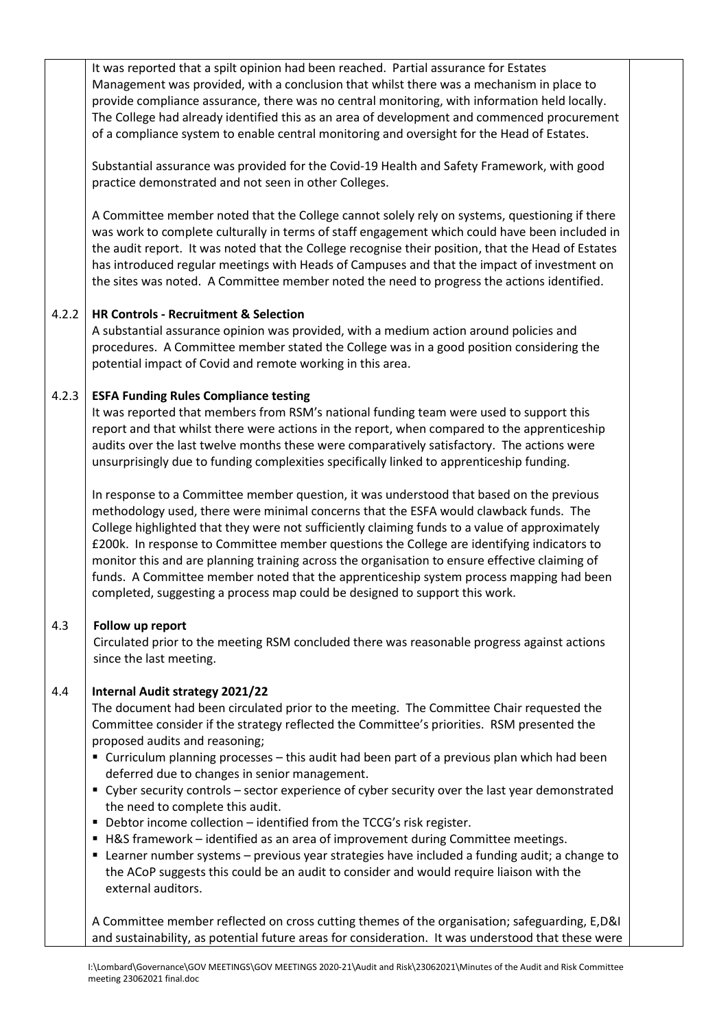It was reported that a spilt opinion had been reached. Partial assurance for Estates Management was provided, with a conclusion that whilst there was a mechanism in place to provide compliance assurance, there was no central monitoring, with information held locally. The College had already identified this as an area of development and commenced procurement of a compliance system to enable central monitoring and oversight for the Head of Estates.

Substantial assurance was provided for the Covid-19 Health and Safety Framework, with good practice demonstrated and not seen in other Colleges.

A Committee member noted that the College cannot solely rely on systems, questioning if there was work to complete culturally in terms of staff engagement which could have been included in the audit report. It was noted that the College recognise their position, that the Head of Estates has introduced regular meetings with Heads of Campuses and that the impact of investment on the sites was noted. A Committee member noted the need to progress the actions identified.

### 4.2.2 **HR Controls - Recruitment & Selection**

A substantial assurance opinion was provided, with a medium action around policies and procedures. A Committee member stated the College was in a good position considering the potential impact of Covid and remote working in this area.

### 4.2.3 **ESFA Funding Rules Compliance testing**

It was reported that members from RSM's national funding team were used to support this report and that whilst there were actions in the report, when compared to the apprenticeship audits over the last twelve months these were comparatively satisfactory. The actions were unsurprisingly due to funding complexities specifically linked to apprenticeship funding.

In response to a Committee member question, it was understood that based on the previous methodology used, there were minimal concerns that the ESFA would clawback funds. The College highlighted that they were not sufficiently claiming funds to a value of approximately £200k. In response to Committee member questions the College are identifying indicators to monitor this and are planning training across the organisation to ensure effective claiming of funds. A Committee member noted that the apprenticeship system process mapping had been completed, suggesting a process map could be designed to support this work.

# 4.3 **Follow up report**

Circulated prior to the meeting RSM concluded there was reasonable progress against actions since the last meeting.

# 4.4 **Internal Audit strategy 2021/22**

The document had been circulated prior to the meeting. The Committee Chair requested the Committee consider if the strategy reflected the Committee's priorities. RSM presented the proposed audits and reasoning;

- Curriculum planning processes this audit had been part of a previous plan which had been deferred due to changes in senior management.
- Cyber security controls sector experience of cyber security over the last year demonstrated the need to complete this audit.
- Debtor income collection identified from the TCCG's risk register.
- H&S framework identified as an area of improvement during Committee meetings.
- Learner number systems previous year strategies have included a funding audit; a change to the ACoP suggests this could be an audit to consider and would require liaison with the external auditors.

A Committee member reflected on cross cutting themes of the organisation; safeguarding, E,D&I and sustainability, as potential future areas for consideration. It was understood that these were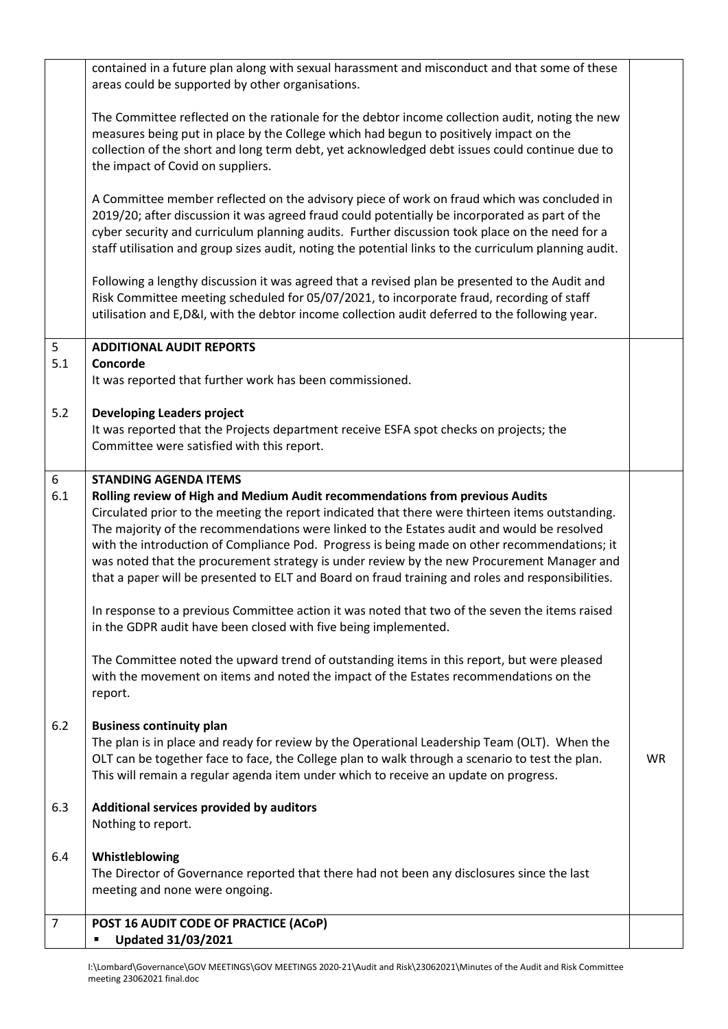| contained in a future plan along with sexual harassment and misconduct and that some of these<br>areas could be supported by other organisations.                                                                                                                                                                                                                                                                                                                                                                                                                                                                                                                                                                   |                                                                                                   |
|---------------------------------------------------------------------------------------------------------------------------------------------------------------------------------------------------------------------------------------------------------------------------------------------------------------------------------------------------------------------------------------------------------------------------------------------------------------------------------------------------------------------------------------------------------------------------------------------------------------------------------------------------------------------------------------------------------------------|---------------------------------------------------------------------------------------------------|
| The Committee reflected on the rationale for the debtor income collection audit, noting the new<br>measures being put in place by the College which had begun to positively impact on the<br>collection of the short and long term debt, yet acknowledged debt issues could continue due to<br>the impact of Covid on suppliers.                                                                                                                                                                                                                                                                                                                                                                                    |                                                                                                   |
| A Committee member reflected on the advisory piece of work on fraud which was concluded in<br>2019/20; after discussion it was agreed fraud could potentially be incorporated as part of the<br>cyber security and curriculum planning audits. Further discussion took place on the need for a<br>staff utilisation and group sizes audit, noting the potential links to the curriculum planning audit.                                                                                                                                                                                                                                                                                                             |                                                                                                   |
| Following a lengthy discussion it was agreed that a revised plan be presented to the Audit and<br>Risk Committee meeting scheduled for 05/07/2021, to incorporate fraud, recording of staff<br>utilisation and E,D&I, with the debtor income collection audit deferred to the following year.                                                                                                                                                                                                                                                                                                                                                                                                                       |                                                                                                   |
| <b>ADDITIONAL AUDIT REPORTS</b>                                                                                                                                                                                                                                                                                                                                                                                                                                                                                                                                                                                                                                                                                     |                                                                                                   |
| It was reported that further work has been commissioned.                                                                                                                                                                                                                                                                                                                                                                                                                                                                                                                                                                                                                                                            |                                                                                                   |
| <b>Developing Leaders project</b><br>It was reported that the Projects department receive ESFA spot checks on projects; the<br>Committee were satisfied with this report.                                                                                                                                                                                                                                                                                                                                                                                                                                                                                                                                           |                                                                                                   |
| <b>STANDING AGENDA ITEMS</b><br>Rolling review of High and Medium Audit recommendations from previous Audits<br>Circulated prior to the meeting the report indicated that there were thirteen items outstanding.<br>The majority of the recommendations were linked to the Estates audit and would be resolved<br>with the introduction of Compliance Pod. Progress is being made on other recommendations; it<br>was noted that the procurement strategy is under review by the new Procurement Manager and<br>that a paper will be presented to ELT and Board on fraud training and roles and responsibilities.<br>In response to a previous Committee action it was noted that two of the seven the items raised |                                                                                                   |
| in the GDPR audit have been closed with five being implemented.<br>The Committee noted the upward trend of outstanding items in this report, but were pleased                                                                                                                                                                                                                                                                                                                                                                                                                                                                                                                                                       |                                                                                                   |
| report.                                                                                                                                                                                                                                                                                                                                                                                                                                                                                                                                                                                                                                                                                                             |                                                                                                   |
| <b>Business continuity plan</b><br>The plan is in place and ready for review by the Operational Leadership Team (OLT). When the<br>OLT can be together face to face, the College plan to walk through a scenario to test the plan.<br>This will remain a regular agenda item under which to receive an update on progress.                                                                                                                                                                                                                                                                                                                                                                                          | <b>WR</b>                                                                                         |
| Additional services provided by auditors<br>Nothing to report.                                                                                                                                                                                                                                                                                                                                                                                                                                                                                                                                                                                                                                                      |                                                                                                   |
| Whistleblowing<br>The Director of Governance reported that there had not been any disclosures since the last<br>meeting and none were ongoing.                                                                                                                                                                                                                                                                                                                                                                                                                                                                                                                                                                      |                                                                                                   |
| POST 16 AUDIT CODE OF PRACTICE (ACoP)<br><b>Updated 31/03/2021</b>                                                                                                                                                                                                                                                                                                                                                                                                                                                                                                                                                                                                                                                  |                                                                                                   |
|                                                                                                                                                                                                                                                                                                                                                                                                                                                                                                                                                                                                                                                                                                                     | Concorde<br>with the movement on items and noted the impact of the Estates recommendations on the |